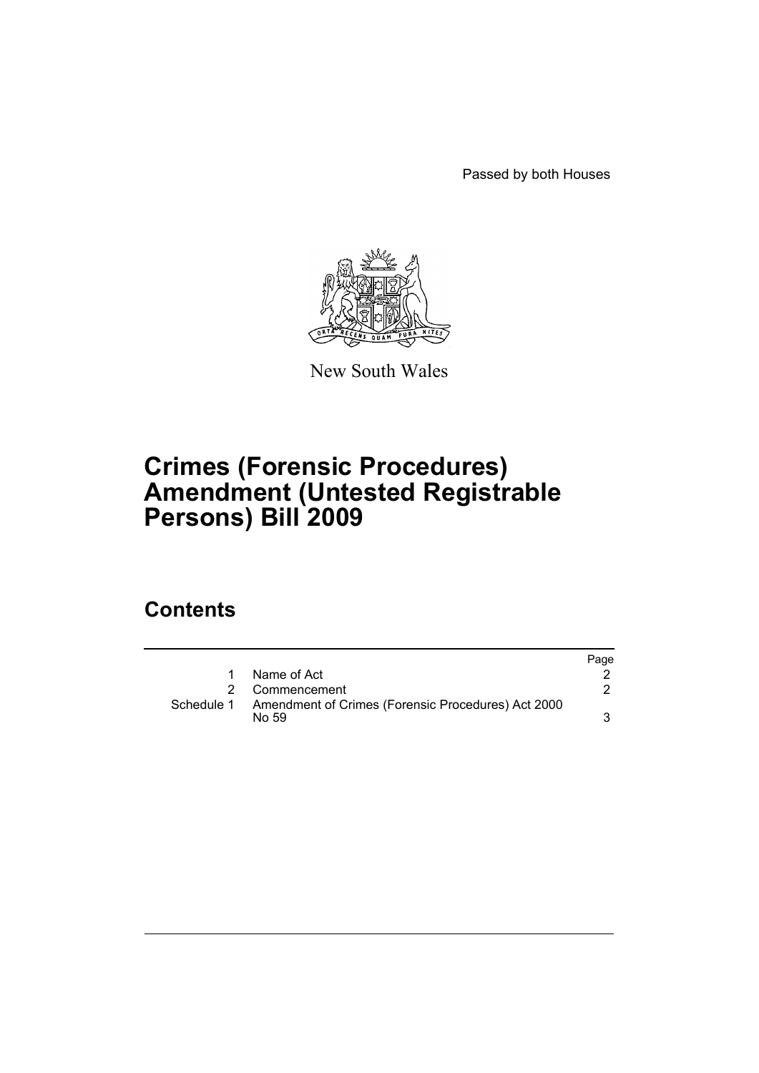Passed by both Houses



New South Wales

## **Crimes (Forensic Procedures) Amendment (Untested Registrable Persons) Bill 2009**

### **Contents**

|            |                                                             | Page |
|------------|-------------------------------------------------------------|------|
| 1          | Name of Act                                                 |      |
|            | Commencement                                                |      |
| Schedule 1 | Amendment of Crimes (Forensic Procedures) Act 2000<br>No 59 |      |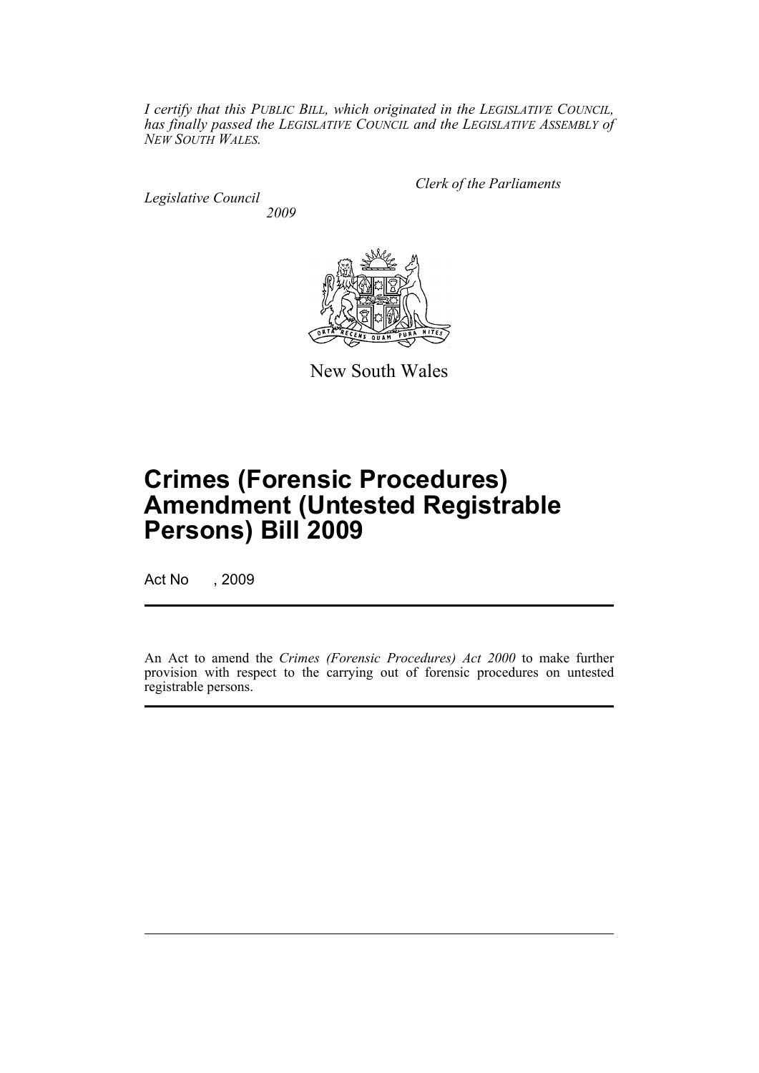*I certify that this PUBLIC BILL, which originated in the LEGISLATIVE COUNCIL, has finally passed the LEGISLATIVE COUNCIL and the LEGISLATIVE ASSEMBLY of NEW SOUTH WALES.*

*Legislative Council 2009* *Clerk of the Parliaments*



New South Wales

# **Crimes (Forensic Procedures) Amendment (Untested Registrable Persons) Bill 2009**

Act No , 2009

An Act to amend the *Crimes (Forensic Procedures) Act 2000* to make further provision with respect to the carrying out of forensic procedures on untested registrable persons.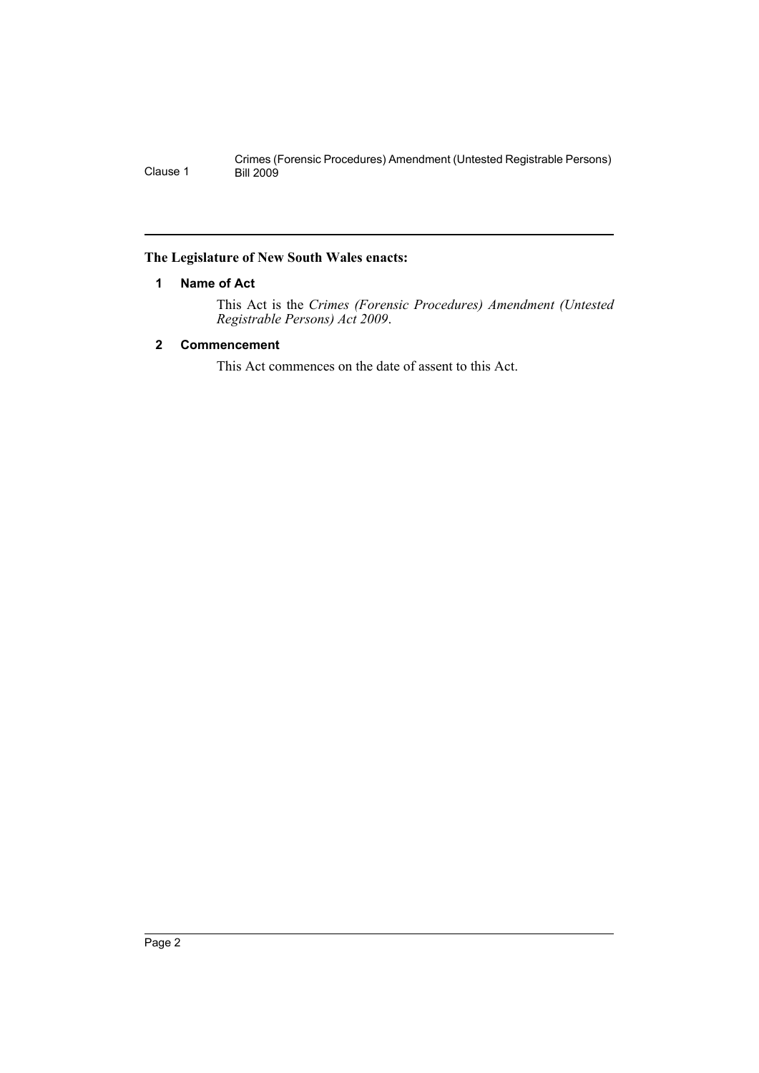#### <span id="page-2-0"></span>**The Legislature of New South Wales enacts:**

#### **1 Name of Act**

This Act is the *Crimes (Forensic Procedures) Amendment (Untested Registrable Persons) Act 2009*.

#### <span id="page-2-1"></span>**2 Commencement**

This Act commences on the date of assent to this Act.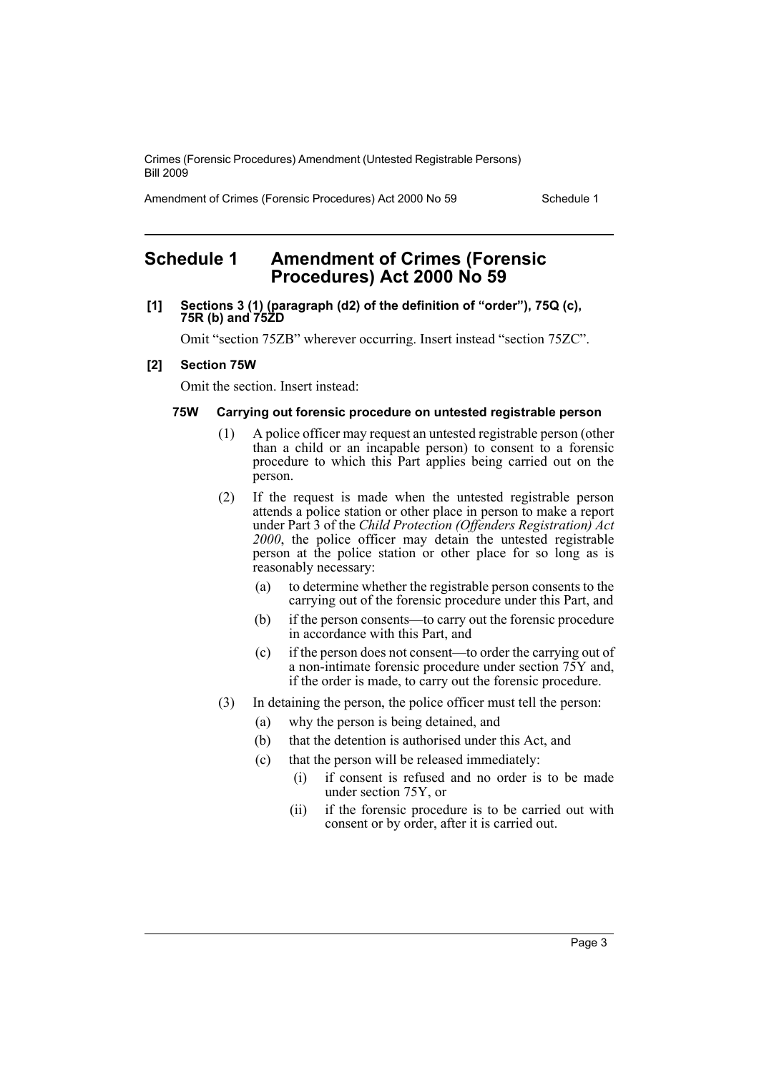Amendment of Crimes (Forensic Procedures) Act 2000 No 59 Schedule 1

### <span id="page-3-0"></span>**Schedule 1 Amendment of Crimes (Forensic Procedures) Act 2000 No 59**

#### **[1] Sections 3 (1) (paragraph (d2) of the definition of "order"), 75Q (c), 75R (b) and 75ZD**

Omit "section 75ZB" wherever occurring. Insert instead "section 75ZC".

#### **[2] Section 75W**

Omit the section. Insert instead:

#### **75W Carrying out forensic procedure on untested registrable person**

- (1) A police officer may request an untested registrable person (other than a child or an incapable person) to consent to a forensic procedure to which this Part applies being carried out on the person.
- (2) If the request is made when the untested registrable person attends a police station or other place in person to make a report under Part 3 of the *Child Protection (Offenders Registration) Act* 2000, the police officer may detain the untested registrable person at the police station or other place for so long as is reasonably necessary:
	- (a) to determine whether the registrable person consents to the carrying out of the forensic procedure under this Part, and
	- (b) if the person consents—to carry out the forensic procedure in accordance with this Part, and
	- (c) if the person does not consent—to order the carrying out of a non-intimate forensic procedure under section 75Y and, if the order is made, to carry out the forensic procedure.
- (3) In detaining the person, the police officer must tell the person:
	- (a) why the person is being detained, and
	- (b) that the detention is authorised under this Act, and
	- (c) that the person will be released immediately:
		- (i) if consent is refused and no order is to be made under section 75Y, or
		- (ii) if the forensic procedure is to be carried out with consent or by order, after it is carried out.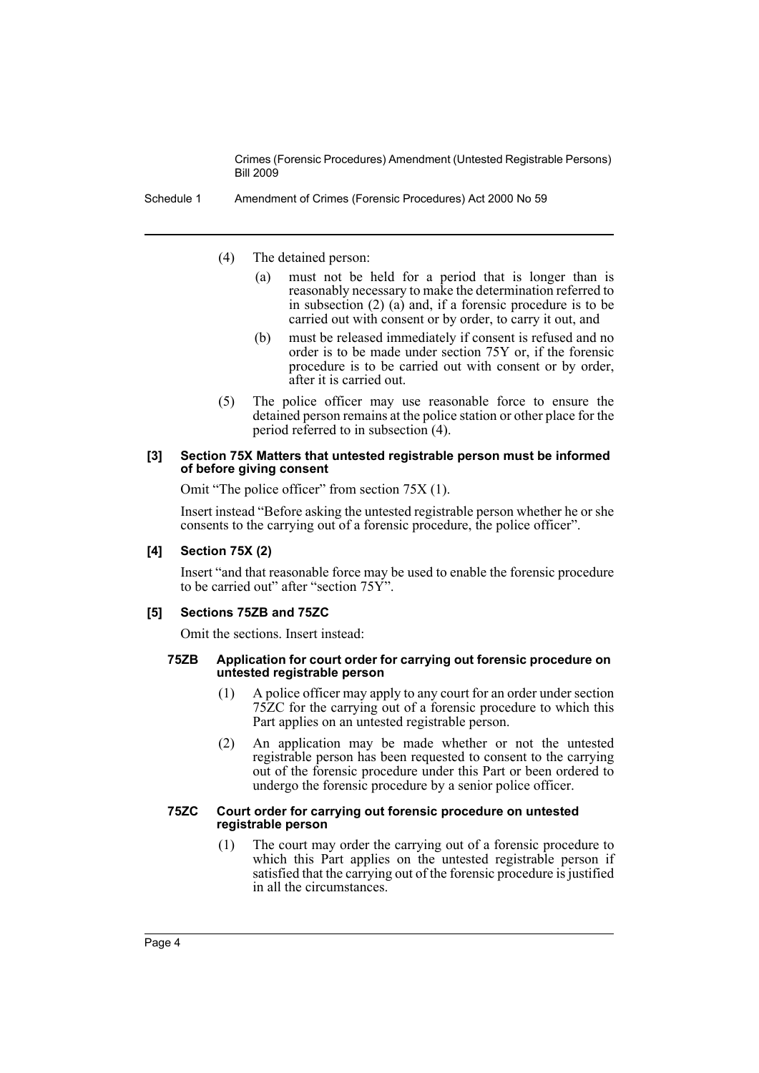Schedule 1 Amendment of Crimes (Forensic Procedures) Act 2000 No 59

- (4) The detained person:
	- (a) must not be held for a period that is longer than is reasonably necessary to make the determination referred to in subsection (2) (a) and, if a forensic procedure is to be carried out with consent or by order, to carry it out, and
	- (b) must be released immediately if consent is refused and no order is to be made under section 75Y or, if the forensic procedure is to be carried out with consent or by order, after it is carried out.
- (5) The police officer may use reasonable force to ensure the detained person remains at the police station or other place for the period referred to in subsection (4).

#### **[3] Section 75X Matters that untested registrable person must be informed of before giving consent**

Omit "The police officer" from section 75X (1).

Insert instead "Before asking the untested registrable person whether he or she consents to the carrying out of a forensic procedure, the police officer".

#### **[4] Section 75X (2)**

Insert "and that reasonable force may be used to enable the forensic procedure to be carried out" after "section 75Y".

#### **[5] Sections 75ZB and 75ZC**

Omit the sections. Insert instead:

#### **75ZB Application for court order for carrying out forensic procedure on untested registrable person**

- (1) A police officer may apply to any court for an order under section 75ZC for the carrying out of a forensic procedure to which this Part applies on an untested registrable person.
- (2) An application may be made whether or not the untested registrable person has been requested to consent to the carrying out of the forensic procedure under this Part or been ordered to undergo the forensic procedure by a senior police officer.

#### **75ZC Court order for carrying out forensic procedure on untested registrable person**

(1) The court may order the carrying out of a forensic procedure to which this Part applies on the untested registrable person if satisfied that the carrying out of the forensic procedure is justified in all the circumstances.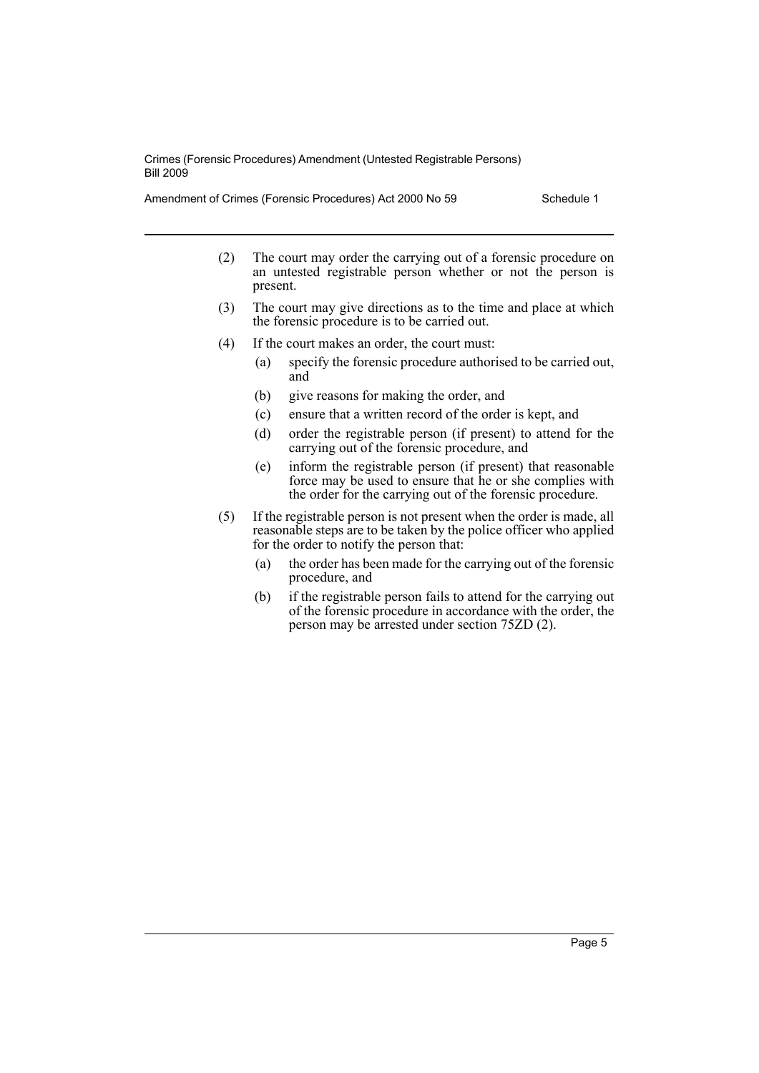Amendment of Crimes (Forensic Procedures) Act 2000 No 59 Schedule 1

- (2) The court may order the carrying out of a forensic procedure on an untested registrable person whether or not the person is present.
- (3) The court may give directions as to the time and place at which the forensic procedure is to be carried out.
- (4) If the court makes an order, the court must:
	- (a) specify the forensic procedure authorised to be carried out, and
	- (b) give reasons for making the order, and
	- (c) ensure that a written record of the order is kept, and
	- (d) order the registrable person (if present) to attend for the carrying out of the forensic procedure, and
	- (e) inform the registrable person (if present) that reasonable force may be used to ensure that he or she complies with the order for the carrying out of the forensic procedure.
- (5) If the registrable person is not present when the order is made, all reasonable steps are to be taken by the police officer who applied for the order to notify the person that:
	- (a) the order has been made for the carrying out of the forensic procedure, and
	- (b) if the registrable person fails to attend for the carrying out of the forensic procedure in accordance with the order, the person may be arrested under section 75ZD (2).